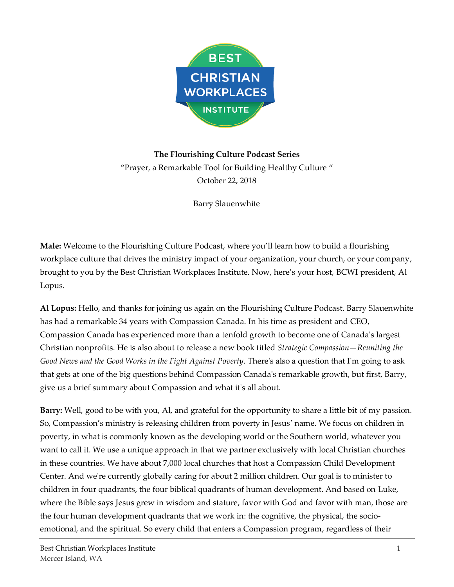

# **The Flourishing Culture Podcast Series** "Prayer, a Remarkable Tool for Building Healthy Culture " October 22, 2018

Barry Slauenwhite

**Male:** Welcome to the Flourishing Culture Podcast, where you'll learn how to build a flourishing workplace culture that drives the ministry impact of your organization, your church, or your company, brought to you by the Best Christian Workplaces Institute. Now, here's your host, BCWI president, Al Lopus.

**Al Lopus:** Hello, and thanks for joining us again on the Flourishing Culture Podcast. Barry Slauenwhite has had a remarkable 34 years with Compassion Canada. In his time as president and CEO, Compassion Canada has experienced more than a tenfold growth to become one of Canada's largest Christian nonprofits. He is also about to release a new book titled *Strategic Compassion—Reuniting the Good News and the Good Works in the Fight Against Poverty*. There's also a question that I'm going to ask that gets at one of the big questions behind Compassion Canada's remarkable growth, but first, Barry, give us a brief summary about Compassion and what it's all about.

**Barry:** Well, good to be with you, Al, and grateful for the opportunity to share a little bit of my passion. So, Compassion's ministry is releasing children from poverty in Jesus' name. We focus on children in poverty, in what is commonly known as the developing world or the Southern world, whatever you want to call it. We use a unique approach in that we partner exclusively with local Christian churches in these countries. We have about 7,000 local churches that host a Compassion Child Development Center. And we're currently globally caring for about 2 million children. Our goal is to minister to children in four quadrants, the four biblical quadrants of human development. And based on Luke, where the Bible says Jesus grew in wisdom and stature, favor with God and favor with man, those are the four human development quadrants that we work in: the cognitive, the physical, the socioemotional, and the spiritual. So every child that enters a Compassion program, regardless of their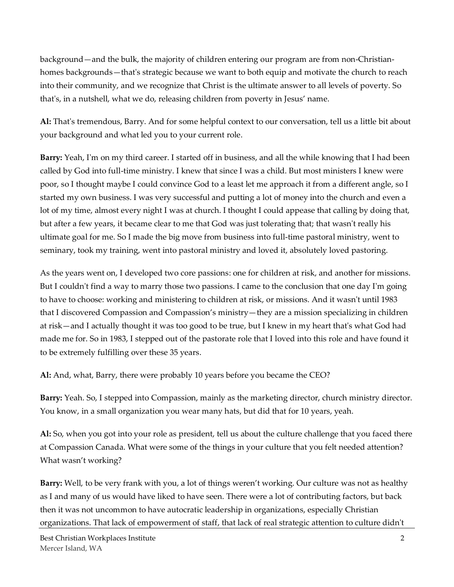background—and the bulk, the majority of children entering our program are from non-Christianhomes backgrounds—that's strategic because we want to both equip and motivate the church to reach into their community, and we recognize that Christ is the ultimate answer to all levels of poverty. So that's, in a nutshell, what we do, releasing children from poverty in Jesus' name.

**Al:** That's tremendous, Barry. And for some helpful context to our conversation, tell us a little bit about your background and what led you to your current role.

**Barry:** Yeah, I'm on my third career. I started off in business, and all the while knowing that I had been called by God into full-time ministry. I knew that since I was a child. But most ministers I knew were poor, so I thought maybe I could convince God to a least let me approach it from a different angle, so I started my own business. I was very successful and putting a lot of money into the church and even a lot of my time, almost every night I was at church. I thought I could appease that calling by doing that, but after a few years, it became clear to me that God was just tolerating that; that wasn't really his ultimate goal for me. So I made the big move from business into full-time pastoral ministry, went to seminary, took my training, went into pastoral ministry and loved it, absolutely loved pastoring.

As the years went on, I developed two core passions: one for children at risk, and another for missions. But I couldn't find a way to marry those two passions. I came to the conclusion that one day I'm going to have to choose: working and ministering to children at risk, or missions. And it wasn't until 1983 that I discovered Compassion and Compassion's ministry—they are a mission specializing in children at risk—and I actually thought it was too good to be true, but I knew in my heart that's what God had made me for. So in 1983, I stepped out of the pastorate role that I loved into this role and have found it to be extremely fulfilling over these 35 years.

**Al:** And, what, Barry, there were probably 10 years before you became the CEO?

**Barry:** Yeah. So, I stepped into Compassion, mainly as the marketing director, church ministry director. You know, in a small organization you wear many hats, but did that for 10 years, yeah.

**Al:** So, when you got into your role as president, tell us about the culture challenge that you faced there at Compassion Canada. What were some of the things in your culture that you felt needed attention? What wasn't working?

**Barry:** Well, to be very frank with you, a lot of things weren't working. Our culture was not as healthy as I and many of us would have liked to have seen. There were a lot of contributing factors, but back then it was not uncommon to have autocratic leadership in organizations, especially Christian organizations. That lack of empowerment of staff, that lack of real strategic attention to culture didn't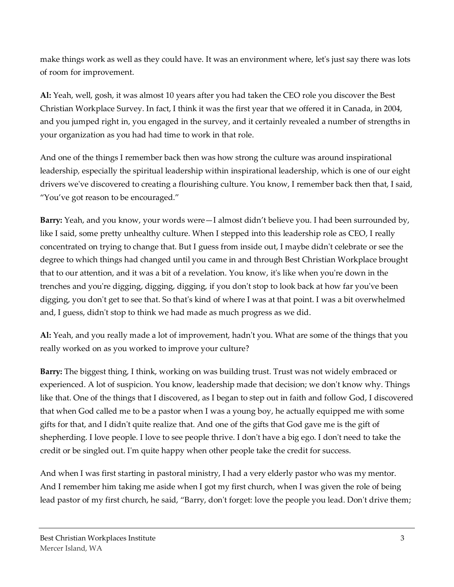make things work as well as they could have. It was an environment where, let's just say there was lots of room for improvement.

**Al:** Yeah, well, gosh, it was almost 10 years after you had taken the CEO role you discover the Best Christian Workplace Survey. In fact, I think it was the first year that we offered it in Canada, in 2004, and you jumped right in, you engaged in the survey, and it certainly revealed a number of strengths in your organization as you had had time to work in that role.

And one of the things I remember back then was how strong the culture was around inspirational leadership, especially the spiritual leadership within inspirational leadership, which is one of our eight drivers we've discovered to creating a flourishing culture. You know, I remember back then that, I said, "You've got reason to be encouraged."

**Barry:** Yeah, and you know, your words were—I almost didn't believe you. I had been surrounded by, like I said, some pretty unhealthy culture. When I stepped into this leadership role as CEO, I really concentrated on trying to change that. But I guess from inside out, I maybe didn't celebrate or see the degree to which things had changed until you came in and through Best Christian Workplace brought that to our attention, and it was a bit of a revelation. You know, it's like when you're down in the trenches and you're digging, digging, digging, if you don't stop to look back at how far you've been digging, you don't get to see that. So that's kind of where I was at that point. I was a bit overwhelmed and, I guess, didn't stop to think we had made as much progress as we did.

**Al:** Yeah, and you really made a lot of improvement, hadn't you. What are some of the things that you really worked on as you worked to improve your culture?

**Barry:** The biggest thing, I think, working on was building trust. Trust was not widely embraced or experienced. A lot of suspicion. You know, leadership made that decision; we don't know why. Things like that. One of the things that I discovered, as I began to step out in faith and follow God, I discovered that when God called me to be a pastor when I was a young boy, he actually equipped me with some gifts for that, and I didn't quite realize that. And one of the gifts that God gave me is the gift of shepherding. I love people. I love to see people thrive. I don't have a big ego. I don't need to take the credit or be singled out. I'm quite happy when other people take the credit for success.

And when I was first starting in pastoral ministry, I had a very elderly pastor who was my mentor. And I remember him taking me aside when I got my first church, when I was given the role of being lead pastor of my first church, he said, "Barry, don't forget: love the people you lead. Don't drive them;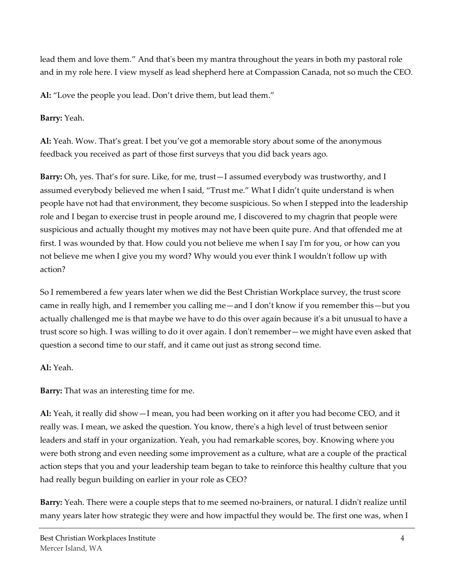lead them and love them." And that's been my mantra throughout the years in both my pastoral role and in my role here. I view myself as lead shepherd here at Compassion Canada, not so much the CEO.

**Al:** "Love the people you lead. Don't drive them, but lead them."

**Barry:** Yeah.

**Al:** Yeah. Wow. That's great. I bet you've got a memorable story about some of the anonymous feedback you received as part of those first surveys that you did back years ago.

**Barry:** Oh, yes. That's for sure. Like, for me, trust—I assumed everybody was trustworthy, and I assumed everybody believed me when I said, "Trust me." What I didn't quite understand is when people have not had that environment, they become suspicious. So when I stepped into the leadership role and I began to exercise trust in people around me, I discovered to my chagrin that people were suspicious and actually thought my motives may not have been quite pure. And that offended me at first. I was wounded by that. How could you not believe me when I say I'm for you, or how can you not believe me when I give you my word? Why would you ever think I wouldn't follow up with action?

So I remembered a few years later when we did the Best Christian Workplace survey, the trust score came in really high, and I remember you calling me—and I don't know if you remember this—but you actually challenged me is that maybe we have to do this over again because it's a bit unusual to have a trust score so high. I was willing to do it over again. I don't remember—we might have even asked that question a second time to our staff, and it came out just as strong second time.

**Al:** Yeah.

**Barry:** That was an interesting time for me.

**Al:** Yeah, it really did show—I mean, you had been working on it after you had become CEO, and it really was. I mean, we asked the question. You know, there's a high level of trust between senior leaders and staff in your organization. Yeah, you had remarkable scores, boy. Knowing where you were both strong and even needing some improvement as a culture, what are a couple of the practical action steps that you and your leadership team began to take to reinforce this healthy culture that you had really begun building on earlier in your role as CEO?

**Barry:** Yeah. There were a couple steps that to me seemed no-brainers, or natural. I didn't realize until many years later how strategic they were and how impactful they would be. The first one was, when I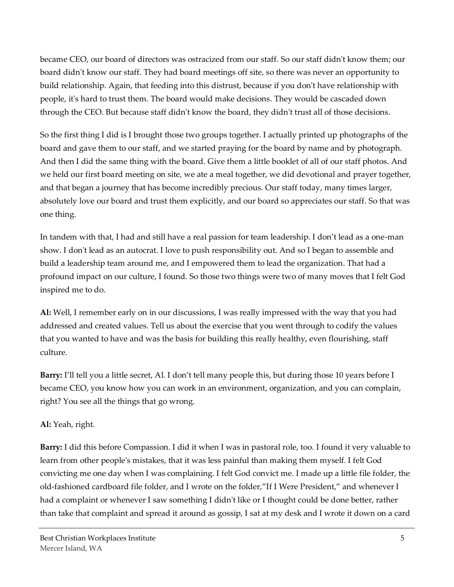became CEO, our board of directors was ostracized from our staff. So our staff didn't know them; our board didn't know our staff. They had board meetings off site, so there was never an opportunity to build relationship. Again, that feeding into this distrust, because if you don't have relationship with people, it's hard to trust them. The board would make decisions. They would be cascaded down through the CEO. But because staff didn't know the board, they didn't trust all of those decisions.

So the first thing I did is I brought those two groups together. I actually printed up photographs of the board and gave them to our staff, and we started praying for the board by name and by photograph. And then I did the same thing with the board. Give them a little booklet of all of our staff photos. And we held our first board meeting on site, we ate a meal together, we did devotional and prayer together, and that began a journey that has become incredibly precious. Our staff today, many times larger, absolutely love our board and trust them explicitly, and our board so appreciates our staff. So that was one thing.

In tandem with that, I had and still have a real passion for team leadership. I don't lead as a one-man show. I don't lead as an autocrat. I love to push responsibility out. And so I began to assemble and build a leadership team around me, and I empowered them to lead the organization. That had a profound impact on our culture, I found. So those two things were two of many moves that I felt God inspired me to do.

**Al:** Well, I remember early on in our discussions, I was really impressed with the way that you had addressed and created values. Tell us about the exercise that you went through to codify the values that you wanted to have and was the basis for building this really healthy, even flourishing, staff culture.

**Barry:** I'll tell you a little secret, Al. I don't tell many people this, but during those 10 years before I became CEO, you know how you can work in an environment, organization, and you can complain, right? You see all the things that go wrong.

# **Al:** Yeah, right.

**Barry:** I did this before Compassion. I did it when I was in pastoral role, too. I found it very valuable to learn from other people's mistakes, that it was less painful than making them myself. I felt God convicting me one day when I was complaining. I felt God convict me. I made up a little file folder, the old-fashioned cardboard file folder, and I wrote on the folder,"If I Were President," and whenever I had a complaint or whenever I saw something I didn't like or I thought could be done better, rather than take that complaint and spread it around as gossip, I sat at my desk and I wrote it down on a card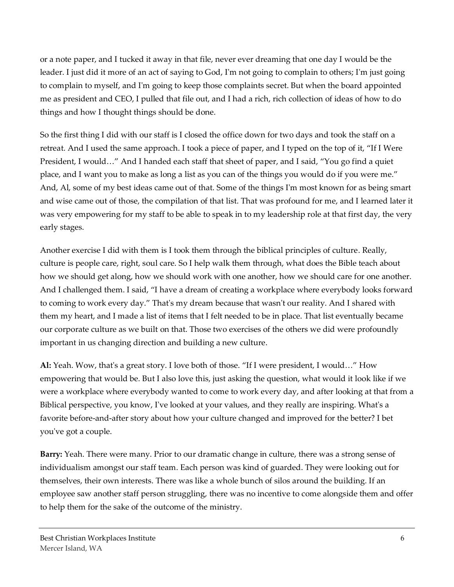or a note paper, and I tucked it away in that file, never ever dreaming that one day I would be the leader. I just did it more of an act of saying to God, I'm not going to complain to others; I'm just going to complain to myself, and I'm going to keep those complaints secret. But when the board appointed me as president and CEO, I pulled that file out, and I had a rich, rich collection of ideas of how to do things and how I thought things should be done.

So the first thing I did with our staff is I closed the office down for two days and took the staff on a retreat. And I used the same approach. I took a piece of paper, and I typed on the top of it, "If I Were President, I would…" And I handed each staff that sheet of paper, and I said, "You go find a quiet place, and I want you to make as long a list as you can of the things you would do if you were me." And, Al, some of my best ideas came out of that. Some of the things I'm most known for as being smart and wise came out of those, the compilation of that list. That was profound for me, and I learned later it was very empowering for my staff to be able to speak in to my leadership role at that first day, the very early stages.

Another exercise I did with them is I took them through the biblical principles of culture. Really, culture is people care, right, soul care. So I help walk them through, what does the Bible teach about how we should get along, how we should work with one another, how we should care for one another. And I challenged them. I said, "I have a dream of creating a workplace where everybody looks forward to coming to work every day." That's my dream because that wasn't our reality. And I shared with them my heart, and I made a list of items that I felt needed to be in place. That list eventually became our corporate culture as we built on that. Those two exercises of the others we did were profoundly important in us changing direction and building a new culture.

**Al:** Yeah. Wow, that's a great story. I love both of those. "If I were president, I would…" How empowering that would be. But I also love this, just asking the question, what would it look like if we were a workplace where everybody wanted to come to work every day, and after looking at that from a Biblical perspective, you know, I've looked at your values, and they really are inspiring. What's a favorite before-and-after story about how your culture changed and improved for the better? I bet you've got a couple.

**Barry:** Yeah. There were many. Prior to our dramatic change in culture, there was a strong sense of individualism amongst our staff team. Each person was kind of guarded. They were looking out for themselves, their own interests. There was like a whole bunch of silos around the building. If an employee saw another staff person struggling, there was no incentive to come alongside them and offer to help them for the sake of the outcome of the ministry.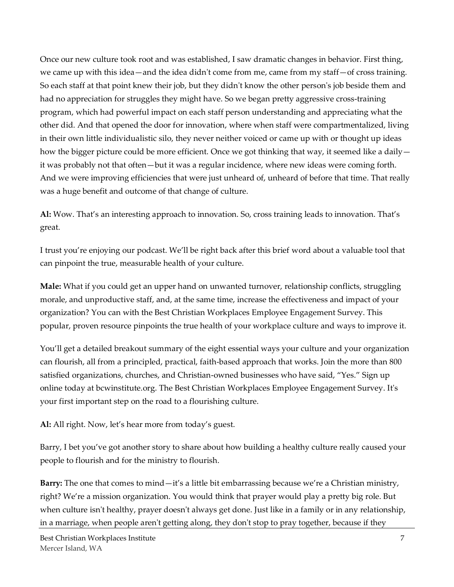Once our new culture took root and was established, I saw dramatic changes in behavior. First thing, we came up with this idea—and the idea didn't come from me, came from my staff—of cross training. So each staff at that point knew their job, but they didn't know the other person's job beside them and had no appreciation for struggles they might have. So we began pretty aggressive cross-training program, which had powerful impact on each staff person understanding and appreciating what the other did. And that opened the door for innovation, where when staff were compartmentalized, living in their own little individualistic silo, they never neither voiced or came up with or thought up ideas how the bigger picture could be more efficient. Once we got thinking that way, it seemed like a daily  $$ it was probably not that often—but it was a regular incidence, where new ideas were coming forth. And we were improving efficiencies that were just unheard of, unheard of before that time. That really was a huge benefit and outcome of that change of culture.

**Al:** Wow. That's an interesting approach to innovation. So, cross training leads to innovation. That's great.

I trust you're enjoying our podcast. We'll be right back after this brief word about a valuable tool that can pinpoint the true, measurable health of your culture.

**Male:** What if you could get an upper hand on unwanted turnover, relationship conflicts, struggling morale, and unproductive staff, and, at the same time, increase the effectiveness and impact of your organization? You can with the Best Christian Workplaces Employee Engagement Survey. This popular, proven resource pinpoints the true health of your workplace culture and ways to improve it.

You'll get a detailed breakout summary of the eight essential ways your culture and your organization can flourish, all from a principled, practical, faith-based approach that works. Join the more than 800 satisfied organizations, churches, and Christian-owned businesses who have said, "Yes." Sign up online today at bcwinstitute.org. The Best Christian Workplaces Employee Engagement Survey. It's your first important step on the road to a flourishing culture.

**Al:** All right. Now, let's hear more from today's guest.

Barry, I bet you've got another story to share about how building a healthy culture really caused your people to flourish and for the ministry to flourish.

**Barry:** The one that comes to mind—it's a little bit embarrassing because we're a Christian ministry, right? We're a mission organization. You would think that prayer would play a pretty big role. But when culture isn't healthy, prayer doesn't always get done. Just like in a family or in any relationship, in a marriage, when people aren't getting along, they don't stop to pray together, because if they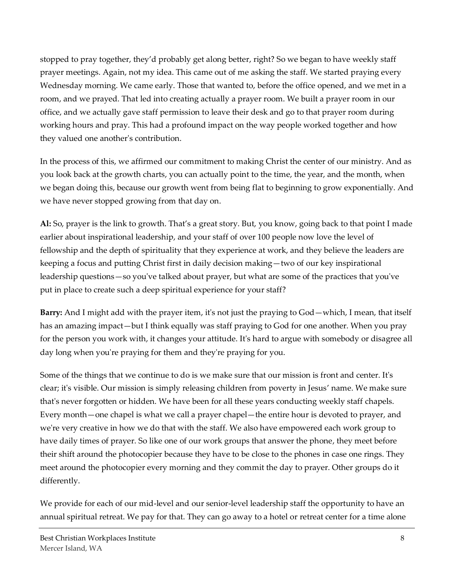stopped to pray together, they'd probably get along better, right? So we began to have weekly staff prayer meetings. Again, not my idea. This came out of me asking the staff. We started praying every Wednesday morning. We came early. Those that wanted to, before the office opened, and we met in a room, and we prayed. That led into creating actually a prayer room. We built a prayer room in our office, and we actually gave staff permission to leave their desk and go to that prayer room during working hours and pray. This had a profound impact on the way people worked together and how they valued one another's contribution.

In the process of this, we affirmed our commitment to making Christ the center of our ministry. And as you look back at the growth charts, you can actually point to the time, the year, and the month, when we began doing this, because our growth went from being flat to beginning to grow exponentially. And we have never stopped growing from that day on.

**Al:** So, prayer is the link to growth. That's a great story. But, you know, going back to that point I made earlier about inspirational leadership, and your staff of over 100 people now love the level of fellowship and the depth of spirituality that they experience at work, and they believe the leaders are keeping a focus and putting Christ first in daily decision making—two of our key inspirational leadership questions—so you've talked about prayer, but what are some of the practices that you've put in place to create such a deep spiritual experience for your staff?

**Barry:** And I might add with the prayer item, it's not just the praying to God—which, I mean, that itself has an amazing impact—but I think equally was staff praying to God for one another. When you pray for the person you work with, it changes your attitude. It's hard to argue with somebody or disagree all day long when you're praying for them and they're praying for you.

Some of the things that we continue to do is we make sure that our mission is front and center. It's clear; it's visible. Our mission is simply releasing children from poverty in Jesus' name. We make sure that's never forgotten or hidden. We have been for all these years conducting weekly staff chapels. Every month—one chapel is what we call a prayer chapel—the entire hour is devoted to prayer, and we're very creative in how we do that with the staff. We also have empowered each work group to have daily times of prayer. So like one of our work groups that answer the phone, they meet before their shift around the photocopier because they have to be close to the phones in case one rings. They meet around the photocopier every morning and they commit the day to prayer. Other groups do it differently.

We provide for each of our mid-level and our senior-level leadership staff the opportunity to have an annual spiritual retreat. We pay for that. They can go away to a hotel or retreat center for a time alone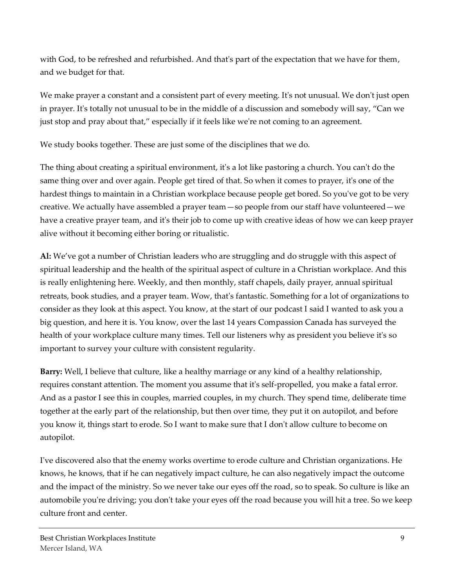with God, to be refreshed and refurbished. And that's part of the expectation that we have for them, and we budget for that.

We make prayer a constant and a consistent part of every meeting. It's not unusual. We don't just open in prayer. It's totally not unusual to be in the middle of a discussion and somebody will say, "Can we just stop and pray about that," especially if it feels like we're not coming to an agreement.

We study books together. These are just some of the disciplines that we do.

The thing about creating a spiritual environment, it's a lot like pastoring a church. You can't do the same thing over and over again. People get tired of that. So when it comes to prayer, it's one of the hardest things to maintain in a Christian workplace because people get bored. So you've got to be very creative. We actually have assembled a prayer team—so people from our staff have volunteered—we have a creative prayer team, and it's their job to come up with creative ideas of how we can keep prayer alive without it becoming either boring or ritualistic.

**Al:** We've got a number of Christian leaders who are struggling and do struggle with this aspect of spiritual leadership and the health of the spiritual aspect of culture in a Christian workplace. And this is really enlightening here. Weekly, and then monthly, staff chapels, daily prayer, annual spiritual retreats, book studies, and a prayer team. Wow, that's fantastic. Something for a lot of organizations to consider as they look at this aspect. You know, at the start of our podcast I said I wanted to ask you a big question, and here it is. You know, over the last 14 years Compassion Canada has surveyed the health of your workplace culture many times. Tell our listeners why as president you believe it's so important to survey your culture with consistent regularity.

**Barry:** Well, I believe that culture, like a healthy marriage or any kind of a healthy relationship, requires constant attention. The moment you assume that it's self-propelled, you make a fatal error. And as a pastor I see this in couples, married couples, in my church. They spend time, deliberate time together at the early part of the relationship, but then over time, they put it on autopilot, and before you know it, things start to erode. So I want to make sure that I don't allow culture to become on autopilot.

I've discovered also that the enemy works overtime to erode culture and Christian organizations. He knows, he knows, that if he can negatively impact culture, he can also negatively impact the outcome and the impact of the ministry. So we never take our eyes off the road, so to speak. So culture is like an automobile you're driving; you don't take your eyes off the road because you will hit a tree. So we keep culture front and center.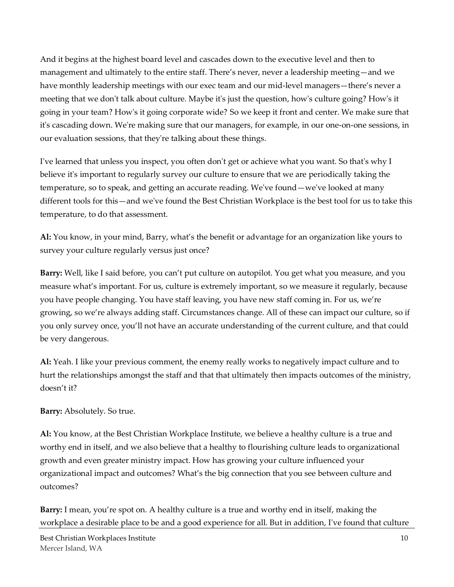And it begins at the highest board level and cascades down to the executive level and then to management and ultimately to the entire staff. There's never, never a leadership meeting—and we have monthly leadership meetings with our exec team and our mid-level managers—there's never a meeting that we don't talk about culture. Maybe it's just the question, how's culture going? How's it going in your team? How's it going corporate wide? So we keep it front and center. We make sure that it's cascading down. We're making sure that our managers, for example, in our one-on-one sessions, in our evaluation sessions, that they're talking about these things.

I've learned that unless you inspect, you often don't get or achieve what you want. So that's why I believe it's important to regularly survey our culture to ensure that we are periodically taking the temperature, so to speak, and getting an accurate reading. We've found—we've looked at many different tools for this—and we've found the Best Christian Workplace is the best tool for us to take this temperature, to do that assessment.

**Al:** You know, in your mind, Barry, what's the benefit or advantage for an organization like yours to survey your culture regularly versus just once?

**Barry:** Well, like I said before, you can't put culture on autopilot. You get what you measure, and you measure what's important. For us, culture is extremely important, so we measure it regularly, because you have people changing. You have staff leaving, you have new staff coming in. For us, we're growing, so we're always adding staff. Circumstances change. All of these can impact our culture, so if you only survey once, you'll not have an accurate understanding of the current culture, and that could be very dangerous.

**Al:** Yeah. I like your previous comment, the enemy really works to negatively impact culture and to hurt the relationships amongst the staff and that that ultimately then impacts outcomes of the ministry, doesn't it?

**Barry:** Absolutely. So true.

**Al:** You know, at the Best Christian Workplace Institute, we believe a healthy culture is a true and worthy end in itself, and we also believe that a healthy to flourishing culture leads to organizational growth and even greater ministry impact. How has growing your culture influenced your organizational impact and outcomes? What's the big connection that you see between culture and outcomes?

**Barry:** I mean, you're spot on. A healthy culture is a true and worthy end in itself, making the workplace a desirable place to be and a good experience for all. But in addition, I've found that culture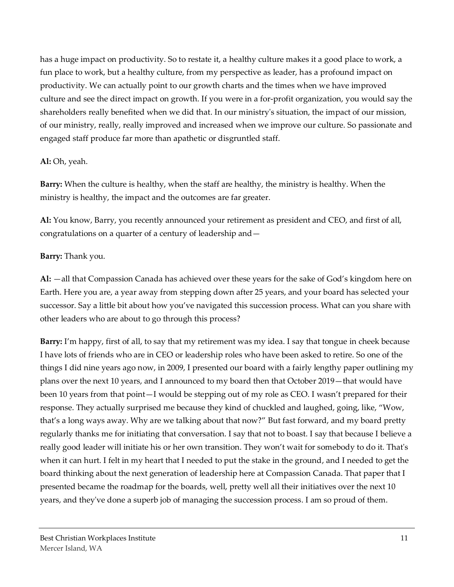has a huge impact on productivity. So to restate it, a healthy culture makes it a good place to work, a fun place to work, but a healthy culture, from my perspective as leader, has a profound impact on productivity. We can actually point to our growth charts and the times when we have improved culture and see the direct impact on growth. If you were in a for-profit organization, you would say the shareholders really benefited when we did that. In our ministry's situation, the impact of our mission, of our ministry, really, really improved and increased when we improve our culture. So passionate and engaged staff produce far more than apathetic or disgruntled staff.

### **Al:** Oh, yeah.

**Barry:** When the culture is healthy, when the staff are healthy, the ministry is healthy. When the ministry is healthy, the impact and the outcomes are far greater.

**Al:** You know, Barry, you recently announced your retirement as president and CEO, and first of all, congratulations on a quarter of a century of leadership and—

### **Barry:** Thank you.

**Al:** —all that Compassion Canada has achieved over these years for the sake of God's kingdom here on Earth. Here you are, a year away from stepping down after 25 years, and your board has selected your successor. Say a little bit about how you've navigated this succession process. What can you share with other leaders who are about to go through this process?

**Barry:** I'm happy, first of all, to say that my retirement was my idea. I say that tongue in cheek because I have lots of friends who are in CEO or leadership roles who have been asked to retire. So one of the things I did nine years ago now, in 2009, I presented our board with a fairly lengthy paper outlining my plans over the next 10 years, and I announced to my board then that October 2019—that would have been 10 years from that point—I would be stepping out of my role as CEO. I wasn't prepared for their response. They actually surprised me because they kind of chuckled and laughed, going, like, "Wow, that's a long ways away. Why are we talking about that now?" But fast forward, and my board pretty regularly thanks me for initiating that conversation. I say that not to boast. I say that because I believe a really good leader will initiate his or her own transition. They won't wait for somebody to do it. That's when it can hurt. I felt in my heart that I needed to put the stake in the ground, and I needed to get the board thinking about the next generation of leadership here at Compassion Canada. That paper that I presented became the roadmap for the boards, well, pretty well all their initiatives over the next 10 years, and they've done a superb job of managing the succession process. I am so proud of them.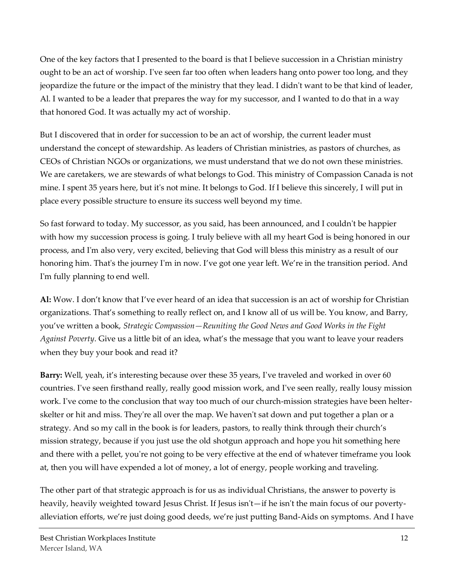One of the key factors that I presented to the board is that I believe succession in a Christian ministry ought to be an act of worship. I've seen far too often when leaders hang onto power too long, and they jeopardize the future or the impact of the ministry that they lead. I didn't want to be that kind of leader, Al. I wanted to be a leader that prepares the way for my successor, and I wanted to do that in a way that honored God. It was actually my act of worship.

But I discovered that in order for succession to be an act of worship, the current leader must understand the concept of stewardship. As leaders of Christian ministries, as pastors of churches, as CEOs of Christian NGOs or organizations, we must understand that we do not own these ministries. We are caretakers, we are stewards of what belongs to God. This ministry of Compassion Canada is not mine. I spent 35 years here, but it's not mine. It belongs to God. If I believe this sincerely, I will put in place every possible structure to ensure its success well beyond my time.

So fast forward to today. My successor, as you said, has been announced, and I couldn't be happier with how my succession process is going. I truly believe with all my heart God is being honored in our process, and I'm also very, very excited, believing that God will bless this ministry as a result of our honoring him. That's the journey I'm in now. I've got one year left. We're in the transition period. And I'm fully planning to end well.

**Al:** Wow. I don't know that I've ever heard of an idea that succession is an act of worship for Christian organizations. That's something to really reflect on, and I know all of us will be. You know, and Barry, you've written a book, *Strategic Compassion—Reuniting the Good News and Good Works in the Fight Against Poverty*. Give us a little bit of an idea, what's the message that you want to leave your readers when they buy your book and read it?

**Barry:** Well, yeah, it's interesting because over these 35 years, I've traveled and worked in over 60 countries. I've seen firsthand really, really good mission work, and I've seen really, really lousy mission work. I've come to the conclusion that way too much of our church-mission strategies have been helterskelter or hit and miss. They're all over the map. We haven't sat down and put together a plan or a strategy. And so my call in the book is for leaders, pastors, to really think through their church's mission strategy, because if you just use the old shotgun approach and hope you hit something here and there with a pellet, you're not going to be very effective at the end of whatever timeframe you look at, then you will have expended a lot of money, a lot of energy, people working and traveling.

The other part of that strategic approach is for us as individual Christians, the answer to poverty is heavily, heavily weighted toward Jesus Christ. If Jesus isn't—if he isn't the main focus of our povertyalleviation efforts, we're just doing good deeds, we're just putting Band-Aids on symptoms. And I have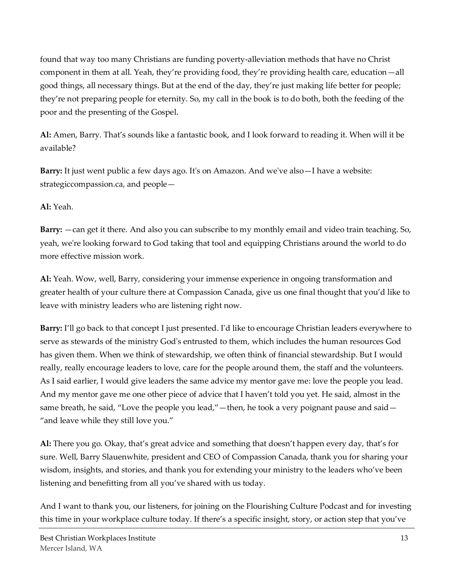found that way too many Christians are funding poverty-alleviation methods that have no Christ component in them at all. Yeah, they're providing food, they're providing health care, education—all good things, all necessary things. But at the end of the day, they're just making life better for people; they're not preparing people for eternity. So, my call in the book is to do both, both the feeding of the poor and the presenting of the Gospel.

**Al:** Amen, Barry. That's sounds like a fantastic book, and I look forward to reading it. When will it be available?

**Barry:** It just went public a few days ago. It's on Amazon. And we've also—I have a website: strategiccompassion.ca, and people—

# **Al:** Yeah.

**Barry:** —can get it there. And also you can subscribe to my monthly email and video train teaching. So, yeah, we're looking forward to God taking that tool and equipping Christians around the world to do more effective mission work.

**Al:** Yeah. Wow, well, Barry, considering your immense experience in ongoing transformation and greater health of your culture there at Compassion Canada, give us one final thought that you'd like to leave with ministry leaders who are listening right now.

**Barry:** I'll go back to that concept I just presented. I'd like to encourage Christian leaders everywhere to serve as stewards of the ministry God's entrusted to them, which includes the human resources God has given them. When we think of stewardship, we often think of financial stewardship. But I would really, really encourage leaders to love, care for the people around them, the staff and the volunteers. As I said earlier, I would give leaders the same advice my mentor gave me: love the people you lead. And my mentor gave me one other piece of advice that I haven't told you yet. He said, almost in the same breath, he said, "Love the people you lead,"—then, he took a very poignant pause and said— "and leave while they still love you."

**Al:** There you go. Okay, that's great advice and something that doesn't happen every day, that's for sure. Well, Barry Slauenwhite, president and CEO of Compassion Canada, thank you for sharing your wisdom, insights, and stories, and thank you for extending your ministry to the leaders who've been listening and benefitting from all you've shared with us today.

And I want to thank you, our listeners, for joining on the Flourishing Culture Podcast and for investing this time in your workplace culture today. If there's a specific insight, story, or action step that you've